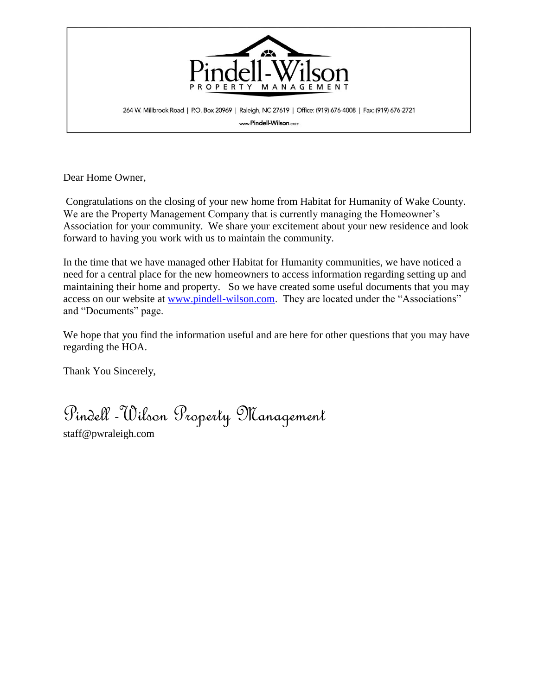

264 W. Millbrook Road | P.O. Box 20969 | Raleigh, NC 27619 | Office: (919) 676-4008 | Fax: (919) 676-2721 www.Pindell-Wilson.com

Dear Home Owner,

Congratulations on the closing of your new home from Habitat for Humanity of Wake County. We are the Property Management Company that is currently managing the Homeowner's Association for your community. We share your excitement about your new residence and look forward to having you work with us to maintain the community.

In the time that we have managed other Habitat for Humanity communities, we have noticed a need for a central place for the new homeowners to access information regarding setting up and maintaining their home and property. So we have created some useful documents that you may access on our website at [www.pindell-wilson.com.](http://www.pindell-wilson.com/) They are located under the "Associations" and "Documents" page.

We hope that you find the information useful and are here for other questions that you may have regarding the HOA.

Thank You Sincerely,

Pindell -Wilson Property Management

staff@pwraleigh.com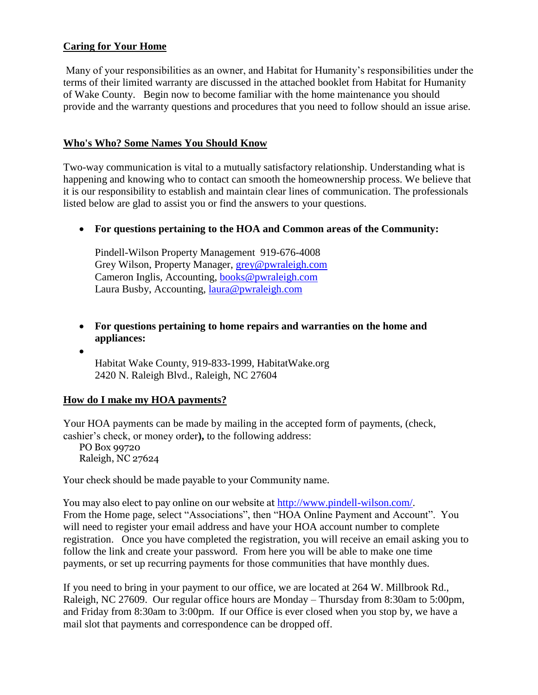## **Caring for Your Home**

Many of your responsibilities as an owner, and Habitat for Humanity's responsibilities under the terms of their limited warranty are discussed in the attached booklet from Habitat for Humanity of Wake County. Begin now to become familiar with the home maintenance you should provide and the warranty questions and procedures that you need to follow should an issue arise.

#### **Who's Who? Some Names You Should Know**

Two-way communication is vital to a mutually satisfactory relationship. Understanding what is happening and knowing who to contact can smooth the homeownership process. We believe that it is our responsibility to establish and maintain clear lines of communication. The professionals listed below are glad to assist you or find the answers to your questions.

**For questions pertaining to the HOA and Common areas of the Community:**

Pindell-Wilson Property Management 919-676-4008 Grey Wilson, Property Manager, [grey@pwraleigh.com](mailto:grey@pwraleigh.com) Cameron Inglis, Accounting, [books@pwraleigh.com](mailto:books@pwraleigh.com) Laura Busby, Accounting, [laura@pwraleigh.com](mailto:laura@pwraleigh.com)

- **For questions pertaining to home repairs and warranties on the home and appliances:**
- $\bullet$

Habitat Wake County, 919-833-1999, HabitatWake.org 2420 N. Raleigh Blvd., Raleigh, NC 27604

## **How do I make my HOA payments?**

Your HOA payments can be made by mailing in the accepted form of payments, (check, cashier's check, or money order**),** to the following address:

PO Box 99720 Raleigh, NC 27624

Your check should be made payable to your Community name.

You may also elect to pay online on our website at [http://www.pindell-wilson.com/.](http://www.pindell-wilson.com/) From the Home page, select "Associations", then "HOA Online Payment and Account". You will need to register your email address and have your HOA account number to complete registration. Once you have completed the registration, you will receive an email asking you to follow the link and create your password. From here you will be able to make one time payments, or set up recurring payments for those communities that have monthly dues.

If you need to bring in your payment to our office, we are located at 264 W. Millbrook Rd., Raleigh, NC 27609. Our regular office hours are Monday – Thursday from 8:30am to 5:00pm, and Friday from 8:30am to 3:00pm. If our Office is ever closed when you stop by, we have a mail slot that payments and correspondence can be dropped off.